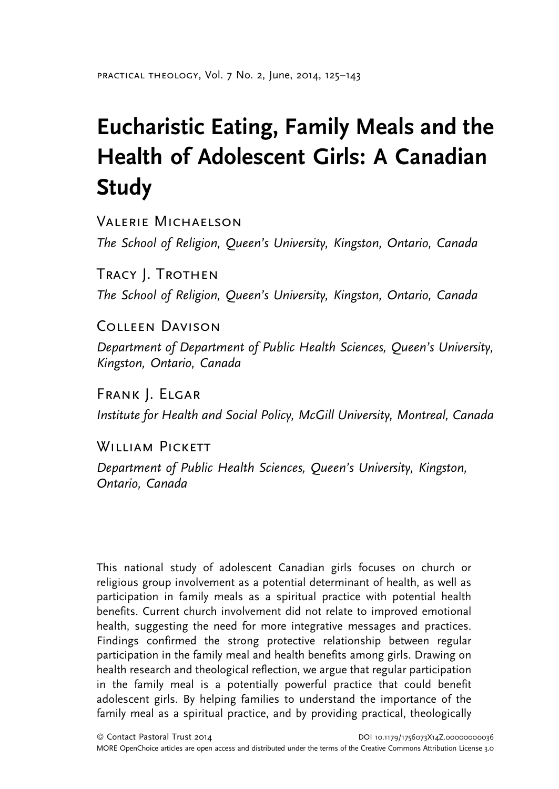# Eucharistic Eating, Family Meals and the Health of Adolescent Girls: A Canadian Study

Valerie Michaelson The School of Religion, Queen's University, Kingston, Ontario, Canada

TRACY I. TROTHEN The School of Religion, Queen's University, Kingston, Ontario, Canada

Colleen Davison

Department of Department of Public Health Sciences, Queen's University, Kingston, Ontario, Canada

Frank J. Elgar Institute for Health and Social Policy, McGill University, Montreal, Canada

WILLIAM PICKETT

Department of Public Health Sciences, Queen's University, Kingston, Ontario, Canada

This national study of adolescent Canadian girls focuses on church or religious group involvement as a potential determinant of health, as well as participation in family meals as a spiritual practice with potential health benefits. Current church involvement did not relate to improved emotional health, suggesting the need for more integrative messages and practices. Findings confirmed the strong protective relationship between regular participation in the family meal and health benefits among girls. Drawing on health research and theological reflection, we argue that regular participation in the family meal is a potentially powerful practice that could benefit adolescent girls. By helping families to understand the importance of the family meal as a spiritual practice, and by providing practical, theologically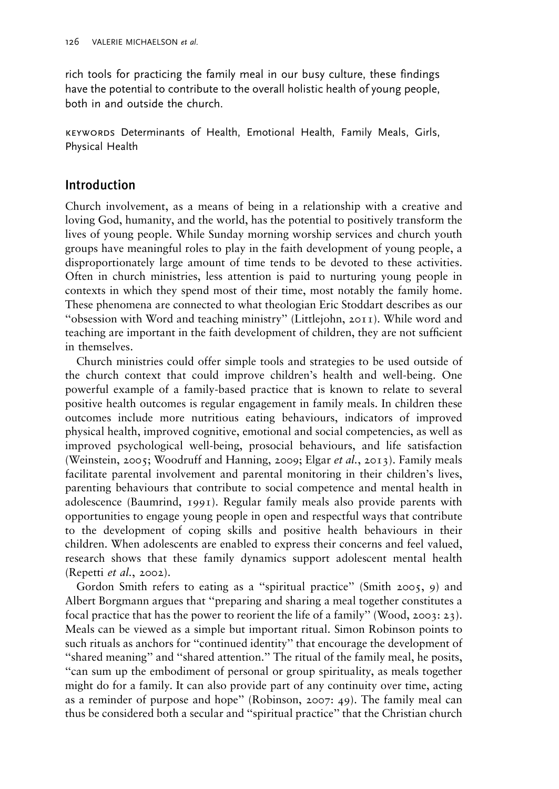rich tools for practicing the family meal in our busy culture, these findings have the potential to contribute to the overall holistic health of young people, both in and outside the church.

keywords Determinants of Health, Emotional Health, Family Meals, Girls, Physical Health

# Introduction

Church involvement, as a means of being in a relationship with a creative and loving God, humanity, and the world, has the potential to positively transform the lives of young people. While Sunday morning worship services and church youth groups have meaningful roles to play in the faith development of young people, a disproportionately large amount of time tends to be devoted to these activities. Often in church ministries, less attention is paid to nurturing young people in contexts in which they spend most of their time, most notably the family home. These phenomena are connected to what theologian Eric Stoddart describes as our ''obsession with Word and teaching ministry'' (Littlejohn, 2011). While word and teaching are important in the faith development of children, they are not sufficient in themselves.

Church ministries could offer simple tools and strategies to be used outside of the church context that could improve children's health and well-being. One powerful example of a family-based practice that is known to relate to several positive health outcomes is regular engagement in family meals. In children these outcomes include more nutritious eating behaviours, indicators of improved physical health, improved cognitive, emotional and social competencies, as well as improved psychological well-being, prosocial behaviours, and life satisfaction (Weinstein, 2005; Woodruff and Hanning, 2009; Elgar *et al.*, 2013). Family meals facilitate parental involvement and parental monitoring in their children's lives, parenting behaviours that contribute to social competence and mental health in adolescence (Baumrind, 1991). Regular family meals also provide parents with opportunities to engage young people in open and respectful ways that contribute to the development of coping skills and positive health behaviours in their children. When adolescents are enabled to express their concerns and feel valued, research shows that these family dynamics support adolescent mental health (Repetti et al., 2002).

Gordon Smith refers to eating as a ''spiritual practice'' (Smith 2005, 9) and Albert Borgmann argues that ''preparing and sharing a meal together constitutes a focal practice that has the power to reorient the life of a family'' (Wood, 2003: 23). Meals can be viewed as a simple but important ritual. Simon Robinson points to such rituals as anchors for ''continued identity'' that encourage the development of "shared meaning" and "shared attention." The ritual of the family meal, he posits, ''can sum up the embodiment of personal or group spirituality, as meals together might do for a family. It can also provide part of any continuity over time, acting as a reminder of purpose and hope'' (Robinson, 2007: 49). The family meal can thus be considered both a secular and ''spiritual practice'' that the Christian church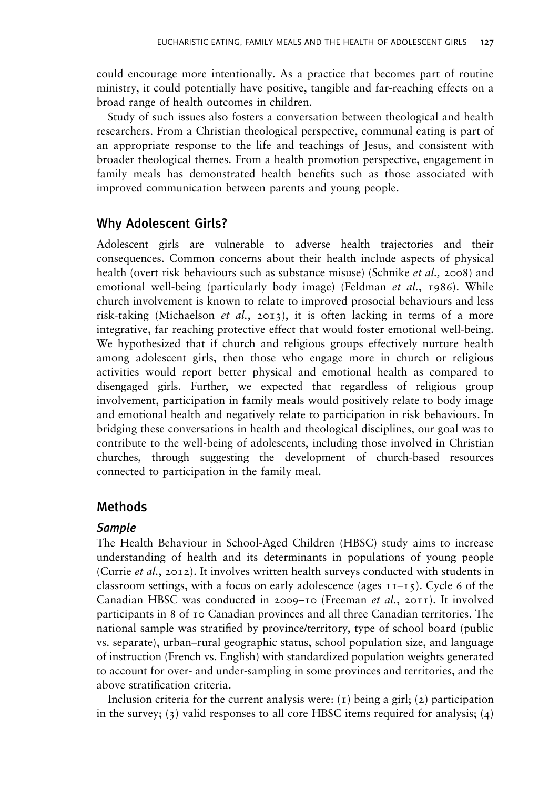could encourage more intentionally. As a practice that becomes part of routine ministry, it could potentially have positive, tangible and far-reaching effects on a broad range of health outcomes in children.

Study of such issues also fosters a conversation between theological and health researchers. From a Christian theological perspective, communal eating is part of an appropriate response to the life and teachings of Jesus, and consistent with broader theological themes. From a health promotion perspective, engagement in family meals has demonstrated health benefits such as those associated with improved communication between parents and young people.

# Why Adolescent Girls?

Adolescent girls are vulnerable to adverse health trajectories and their consequences. Common concerns about their health include aspects of physical health (overt risk behaviours such as substance misuse) (Schnike *et al.*, 2008) and emotional well-being (particularly body image) (Feldman et al., 1986). While church involvement is known to relate to improved prosocial behaviours and less risk-taking (Michaelson *et al.*, 2013), it is often lacking in terms of a more integrative, far reaching protective effect that would foster emotional well-being. We hypothesized that if church and religious groups effectively nurture health among adolescent girls, then those who engage more in church or religious activities would report better physical and emotional health as compared to disengaged girls. Further, we expected that regardless of religious group involvement, participation in family meals would positively relate to body image and emotional health and negatively relate to participation in risk behaviours. In bridging these conversations in health and theological disciplines, our goal was to contribute to the well-being of adolescents, including those involved in Christian churches, through suggesting the development of church-based resources connected to participation in the family meal.

# Methods

#### Sample

The Health Behaviour in School-Aged Children (HBSC) study aims to increase understanding of health and its determinants in populations of young people (Currie et al., 2012). It involves written health surveys conducted with students in classroom settings, with a focus on early adolescence (ages  $11-I_5$ ). Cycle 6 of the Canadian HBSC was conducted in 2009–10 (Freeman et al., 2011). It involved participants in 8 of 10 Canadian provinces and all three Canadian territories. The national sample was stratified by province/territory, type of school board (public vs. separate), urban–rural geographic status, school population size, and language of instruction (French vs. English) with standardized population weights generated to account for over- and under-sampling in some provinces and territories, and the above stratification criteria.

Inclusion criteria for the current analysis were:  $(1)$  being a girl;  $(2)$  participation in the survey; (3) valid responses to all core HBSC items required for analysis; (4)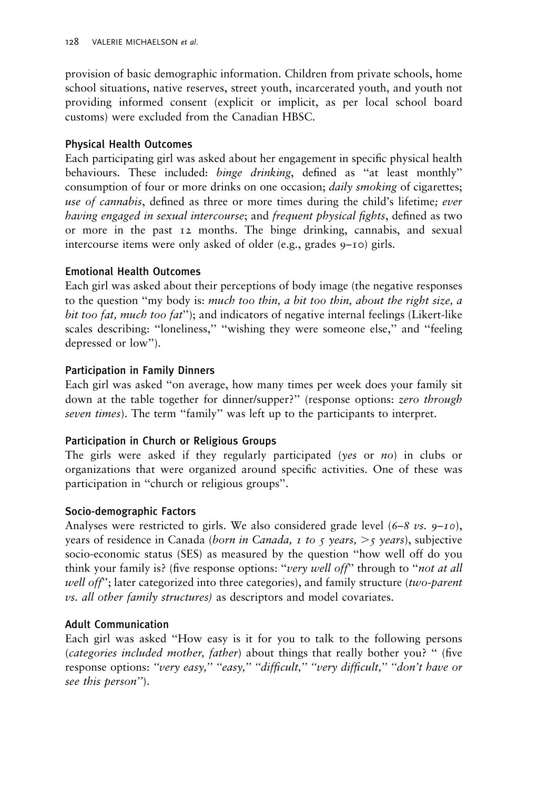provision of basic demographic information. Children from private schools, home school situations, native reserves, street youth, incarcerated youth, and youth not providing informed consent (explicit or implicit, as per local school board customs) were excluded from the Canadian HBSC.

# Physical Health Outcomes

Each participating girl was asked about her engagement in specific physical health behaviours. These included: binge drinking, defined as ''at least monthly'' consumption of four or more drinks on one occasion; *daily smoking* of cigarettes; use of cannabis, defined as three or more times during the child's lifetime; ever having engaged in sexual intercourse; and frequent physical fights, defined as two or more in the past 12 months. The binge drinking, cannabis, and sexual intercourse items were only asked of older (e.g., grades 9–10) girls.

# Emotional Health Outcomes

Each girl was asked about their perceptions of body image (the negative responses to the question ''my body is: much too thin, a bit too thin, about the right size, a bit too fat, much too fat"); and indicators of negative internal feelings (Likert-like scales describing: "loneliness," "wishing they were someone else," and "feeling depressed or low'').

# Participation in Family Dinners

Each girl was asked ''on average, how many times per week does your family sit down at the table together for dinner/supper?'' (response options: zero through seven times). The term "family" was left up to the participants to interpret.

# Participation in Church or Religious Groups

The girls were asked if they regularly participated (yes or no) in clubs or organizations that were organized around specific activities. One of these was participation in ''church or religious groups''.

# Socio-demographic Factors

Analyses were restricted to girls. We also considered grade level  $(6-8 \text{ vs. } 9-10)$ , years of residence in Canada (*born in Canada*,  $\overline{I}$  to  $\overline{I}$  years,  $>$  years), subjective socio-economic status (SES) as measured by the question ''how well off do you think your family is? (five response options: "very well off" through to "not at all well off"; later categorized into three categories), and family structure (two-parent vs. all other family structures) as descriptors and model covariates.

# Adult Communication

Each girl was asked ''How easy is it for you to talk to the following persons (categories included mother, father) about things that really bother you? '' (five response options: "very easy," "easy," "difficult," "very difficult," "don't have or see this person'').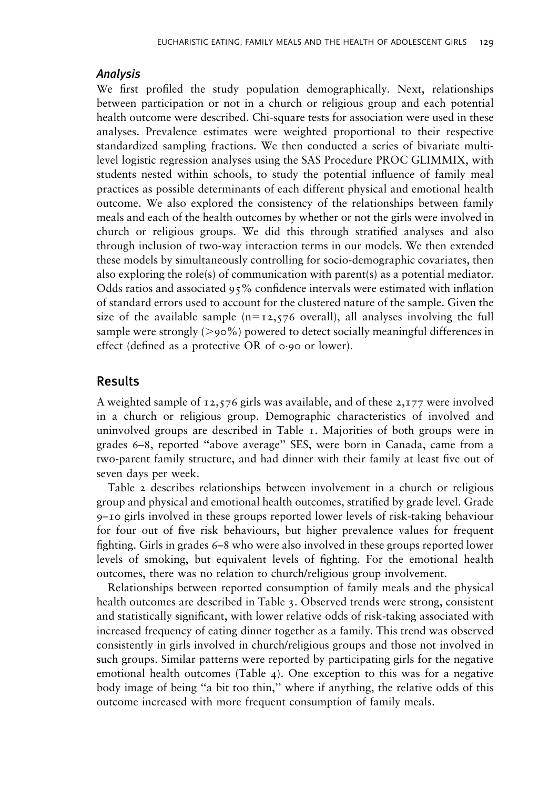#### Analysis

We first profiled the study population demographically. Next, relationships between participation or not in a church or religious group and each potential health outcome were described. Chi-square tests for association were used in these analyses. Prevalence estimates were weighted proportional to their respective standardized sampling fractions. We then conducted a series of bivariate multilevel logistic regression analyses using the SAS Procedure PROC GLIMMIX, with students nested within schools, to study the potential influence of family meal practices as possible determinants of each different physical and emotional health outcome. We also explored the consistency of the relationships between family meals and each of the health outcomes by whether or not the girls were involved in church or religious groups. We did this through stratified analyses and also through inclusion of two-way interaction terms in our models. We then extended these models by simultaneously controlling for socio-demographic covariates, then also exploring the role(s) of communication with parent(s) as a potential mediator. Odds ratios and associated 95% confidence intervals were estimated with inflation of standard errors used to account for the clustered nature of the sample. Given the size of the available sample ( $n=12,576$  overall), all analyses involving the full sample were strongly  $(> 90\%)$  powered to detect socially meaningful differences in effect (defined as a protective OR of 0.90 or lower).

# Results

A weighted sample of  $12,576$  girls was available, and of these  $2,177$  were involved in a church or religious group. Demographic characteristics of involved and uninvolved groups are described in Table 1. Majorities of both groups were in grades 6–8, reported ''above average'' SES, were born in Canada, came from a two-parent family structure, and had dinner with their family at least five out of seven days per week.

Table 2 describes relationships between involvement in a church or religious group and physical and emotional health outcomes, stratified by grade level. Grade 9–10 girls involved in these groups reported lower levels of risk-taking behaviour for four out of five risk behaviours, but higher prevalence values for frequent fighting. Girls in grades 6–8 who were also involved in these groups reported lower levels of smoking, but equivalent levels of fighting. For the emotional health outcomes, there was no relation to church/religious group involvement.

Relationships between reported consumption of family meals and the physical health outcomes are described in Table 3. Observed trends were strong, consistent and statistically significant, with lower relative odds of risk-taking associated with increased frequency of eating dinner together as a family. This trend was observed consistently in girls involved in church/religious groups and those not involved in such groups. Similar patterns were reported by participating girls for the negative emotional health outcomes (Table 4). One exception to this was for a negative body image of being ''a bit too thin,'' where if anything, the relative odds of this outcome increased with more frequent consumption of family meals.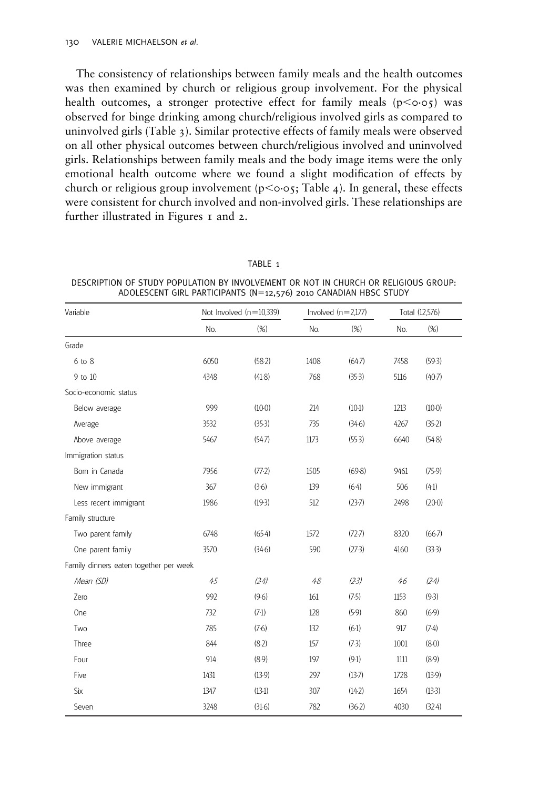The consistency of relationships between family meals and the health outcomes was then examined by church or religious group involvement. For the physical health outcomes, a stronger protective effect for family meals ( $p < o·o<sub>5</sub>$ ) was observed for binge drinking among church/religious involved girls as compared to uninvolved girls (Table 3). Similar protective effects of family meals were observed on all other physical outcomes between church/religious involved and uninvolved girls. Relationships between family meals and the body image items were the only emotional health outcome where we found a slight modification of effects by church or religious group involvement ( $p<\circ \circ$ 5; Table 4). In general, these effects were consistent for church involved and non-involved girls. These relationships are further illustrated in Figures 1 and 2.

#### TABLE 1

DESCRIPTION OF STUDY POPULATION BY INVOLVEMENT OR NOT IN CHURCH OR RELIGIOUS GROUP: ADOLESCENT GIRL PARTICIPANTS (N=12,576) 2010 CANADIAN HBSC STUDY

| Variable                               |      | Not Involved $(n=10,339)$ |      | Involved $(n=2,177)$ |        | Total (12,576) |
|----------------------------------------|------|---------------------------|------|----------------------|--------|----------------|
|                                        | No.  | (%)                       | No.  | (%)                  | No.    | (%)            |
| Grade                                  |      |                           |      |                      |        |                |
| $6$ to $8$                             | 6050 | (58.2)                    | 1408 | $(64-7)$             | 7458   | (59.3)         |
| 9 to 10                                | 4348 | (41.8)                    | 768  | (35.3)               | 5116   | $(40-7)$       |
| Socio-economic status                  |      |                           |      |                      |        |                |
| Below average                          | 999  | $(10-0)$                  | 214  | $(10-1)$             | 1213   | $(10-0)$       |
| Average                                | 3532 | (35.3)                    | 735  | (34.6)               | 4267   | $(35-2)$       |
| Above average                          | 5467 | (54.7)                    | 1173 | $(55-3)$             | 6640   | (54.8)         |
| Immigration status                     |      |                           |      |                      |        |                |
| Born in Canada                         | 7956 | (77.2)                    | 1505 | (69.8)               | 9461   | (75.9)         |
| New immigrant                          | 367  | (3.6)                     | 139  | $(6-4)$              | 506    | $(4-1)$        |
| Less recent immigrant                  | 1986 | $(19-3)$                  | 512  | $(23-7)$             | 2498   | (20.0)         |
| Family structure                       |      |                           |      |                      |        |                |
| Two parent family                      | 6748 | $(65-4)$                  | 1572 | $(72-7)$             | 8320   | $(66-7)$       |
| One parent family                      | 3570 | (34.6)                    | 590  | $(27-3)$             | 4160   | (33.3)         |
| Family dinners eaten together per week |      |                           |      |                      |        |                |
| Mean (SD)                              | 45   | (2.4)                     | 48   | (2.3)                | 46     | (2.4)          |
| Zero                                   | 992  | (9.6)                     | 161  | (7.5)                | 1153   | (9.3)          |
| <b>One</b>                             | 732  | (7.1)                     | 128  | (5.9)                | 860    | (6.9)          |
| Two                                    | 785  | (7.6)                     | 132  | $(6-1)$              | 917    | (7.4)          |
| Three                                  | 844  | $(8-2)$                   | 157  | (7.3)                | 1001   | $(8-0)$        |
| Four                                   | 914  | (8.9)                     | 197  | (9.1)                | $1111$ | (8.9)          |
| Five                                   | 1431 | (13.9)                    | 297  | (13.7)               | 1728   | (13.9)         |
| Six                                    | 1347 | $(13-1)$                  | 307  | $(14-2)$             | 1654   | (13.3)         |
| Seven                                  | 3248 | (31.6)                    | 782  | (36.2)               | 4030   | (32.4)         |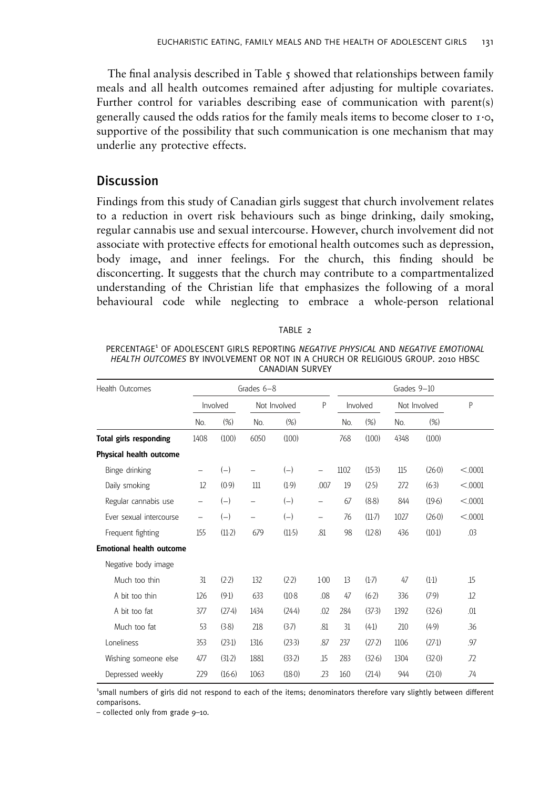The final analysis described in Table  $\zeta$  showed that relationships between family meals and all health outcomes remained after adjusting for multiple covariates. Further control for variables describing ease of communication with parent(s) generally caused the odds ratios for the family meals items to become closer to 1.0, supportive of the possibility that such communication is one mechanism that may underlie any protective effects.

# Discussion

Findings from this study of Canadian girls suggest that church involvement relates to a reduction in overt risk behaviours such as binge drinking, daily smoking, regular cannabis use and sexual intercourse. However, church involvement did not associate with protective effects for emotional health outcomes such as depression, body image, and inner feelings. For the church, this finding should be disconcerting. It suggests that the church may contribute to a compartmentalized understanding of the Christian life that emphasizes the following of a moral behavioural code while neglecting to embrace a whole-person relational

| PERCENTAGE <sup>1</sup> OF ADOLESCENT GIRLS REPORTING <i>NEGATIVE PHYSICAL</i> AND <i>NEGATIVE EMOTIONAL</i> |
|--------------------------------------------------------------------------------------------------------------|
| <i>HEALTH OUTCOMES</i> BY INVOLVEMENT OR NOT IN A CHURCH OR RELIGIOUS GROUP, 2010 HBSC                       |
| CANADIAN SURVEY                                                                                              |

TABLE 2

| Health Outcomes                 |                          |          | Grades $6-8$ |              |                   |      |          | Grades 9-10 |              |        |
|---------------------------------|--------------------------|----------|--------------|--------------|-------------------|------|----------|-------------|--------------|--------|
|                                 |                          | Involved |              | Not Involved | P                 |      | Involved |             | Not Involved | P      |
|                                 | No.                      | (%)      | No.          | (% )         |                   | No.  | (%)      | No.         | $(\%)$       |        |
| <b>Total girls responding</b>   | 1408                     | (100)    | 6050         | (100)        |                   | 768  | (100)    | 4348        | (100)        |        |
| Physical health outcome         |                          |          |              |              |                   |      |          |             |              |        |
| Binge drinking                  | -                        | $(-)$    |              | $(-)$        | $\qquad \qquad -$ | 1102 | $(15-3)$ | 115         | (26.0)       | < 0001 |
| Daily smoking                   | 12                       | (0.9)    | 111          | (1.9)        | .007              | 19   | (2.5)    | 272         | (6.3)        | < 0001 |
| Regular cannabis use            | $\overline{\phantom{0}}$ | $(-)$    | -            | $(-)$        | $\qquad \qquad -$ | 67   | (8.8)    | 844         | $(19-6)$     | < 0001 |
| Ever sexual intercourse         | -                        | $(-)$    | -            | $(-)$        | $\qquad \qquad -$ | 76   | (11.7)   | 1027        | (26.0)       | < 0001 |
| Frequent fighting               | 155                      | (11.2)   | 679          | (11.5)       | .81               | 98   | $(12-8)$ | 436         | $(10-1)$     | .03    |
| <b>Emotional health outcome</b> |                          |          |              |              |                   |      |          |             |              |        |
| Negative body image             |                          |          |              |              |                   |      |          |             |              |        |
| Much too thin                   | 31                       | (2.2)    | 132          | (2.2)        | $1-00$            | 13   | (1.7)    | 47          | (1.1)        | .15    |
| A bit too thin                  | 126                      | (9.1)    | 633          | (10.8)       | .08               | 47   | $(6-2)$  | 336         | (7.9)        | .17    |
| A bit too fat                   | 377                      | $(27-4)$ | 1434         | $(24-4)$     | .02               | 284  | (37.3)   | 1392        | (32.6)       | .01    |
| Much too fat                    | 53                       | (3.8)    | 218          | (3.7)        | .81               | 31   | $(4-1)$  | 210         | (4.9)        | 36     |
| Loneliness                      | 353                      | $(23-1)$ | 1316         | $(23-3)$     | .87               | 237  | $(27-2)$ | 1106        | $(27-1)$     | .97    |
| Wishing someone else            | 477                      | $(31-2)$ | 1881         | $(33-2)$     | .15               | 283  | (32.6)   | 1304        | (32.0)       | 72     |
| Depressed weekly                | 229                      | (16.6)   | 1063         | $(18-0)$     | 23                | 160  | $(21-4)$ | 944         | $(21-0)$     | 74     |

1 small numbers of girls did not respond to each of the items; denominators therefore vary slightly between different comparisons.

– collected only from grade 9–10.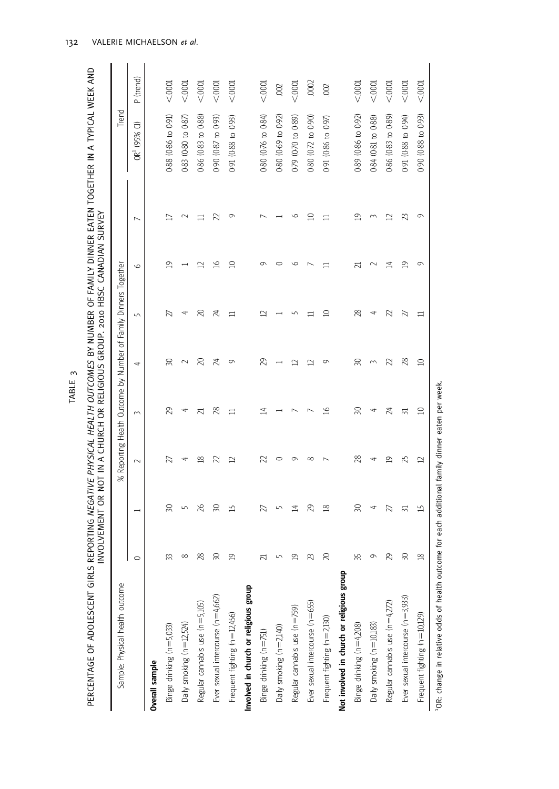TABLE 3

| Sample: Physical health outcome           |         |    |                |        |    | % Reporting Health Outcome by Number of Family Dinners Together |         |                | Trend                         |                   |
|-------------------------------------------|---------|----|----------------|--------|----|-----------------------------------------------------------------|---------|----------------|-------------------------------|-------------------|
|                                           | $\circ$ |    | $\sim$         | $\sim$ | 4  | $\sqrt{ }$                                                      | $\circ$ | $\overline{ }$ | $(95%$ Cl)<br>É               | (trend)<br>$\sim$ |
| Overall sample                            |         |    |                |        |    |                                                                 |         |                |                               |                   |
| Binge drinking (n=5,033)                  | ട്ട     | 20 | R              | 29     | ≅  | R                                                               | ഉ       |                | 0.88 (0.86 to 0.91)           | < 0001            |
| Daily smoking (n=12,524)                  | ∞       |    |                |        |    |                                                                 |         |                | $0.83(0.80)$ to $0.87$        | < 000             |
| Regular cannabis use (n=5,105)            | ≋       | 26 | ≌              | ನ      | ≍  | ≍                                                               |         |                | $0.86(0.83)$ to $0.88$        | < 000             |
| Ever sexual intercourse (n=4,662)         | ଛ       | 20 | 22             | 28     | ₹  | 24                                                              | ≌       |                | $(560 \text{ to } 280)$ 0.93  | < 0001            |
| Frequent fighting (n=12,456)              | ₽       | Б  | $\mathbf{r}$   | Π      |    |                                                                 | ≘       |                | (0.88 t0 0.93)<br>0.91        | < 0001            |
| Involved in church or religious group     |         |    |                |        |    |                                                                 |         |                |                               |                   |
| Binge drinking (n=751)                    | ಸ       |    | 22             | 斗      | ని |                                                                 |         |                | $0.80$ $(0.76$ to $0.84)$     | < 0001            |
| Daily smoking (n=2,140)                   |         |    |                |        |    |                                                                 |         |                | $0.80$ (0.69 to 0.92)         | 500               |
| Regular cannabis use (n=759)              | ₽       | 1  |                |        |    |                                                                 |         |                | 0.79(0.70 to 0.89)            | < 0001            |
| Ever sexual intercourse (n=655)           | R       | ని | ∞              |        |    |                                                                 |         |                | $0.80(0.72 \text{ to } 0.90)$ | 0002              |
| Frequent fighting (n=2,130)               | R       | ≌  |                | ≌      |    |                                                                 |         |                | (0.86 to 0.97)<br>0.91        | 500               |
| Not involved in church or religious group |         |    |                |        |    |                                                                 |         |                |                               |                   |
| Binge drinking (n=4,208)                  | ₩       | 20 | 28             | ଲ      | ≅  | 28                                                              |         | ⊵              | 0.89 (0.86 to 0.92)           | < 0001            |
| Daily smoking (n=10,183)                  | σ       |    |                |        |    |                                                                 |         |                | 0-84 (0-81 to 0-88)           | < 0001            |
| Regular cannabis use (n=4,272)            | ని      | 27 | $\overline{a}$ | 24     | R  |                                                                 | ₫       |                | 0-86 (0-83 to 0-89)           | < 0001            |
| Ever sexual intercourse (n=3,933)         | ଛ       | 51 | K              | ಸ      | జ  |                                                                 | ₽       | R              | $(160 01 880)$ I6.0           | < 000             |
| Frequent fighting (n=10,129)              | ≌       | FJ | 2              | ≘      | ≘  | 급                                                               | $\circ$ | $\circ$        | $(660 \text{ of } 880)$ 0.93  | < 0001            |

'OR: change in relative odds of health outcome for each additional family dinner eaten per week. 1OR: change in relative odds of health outcome for each additional family dinner eaten per week.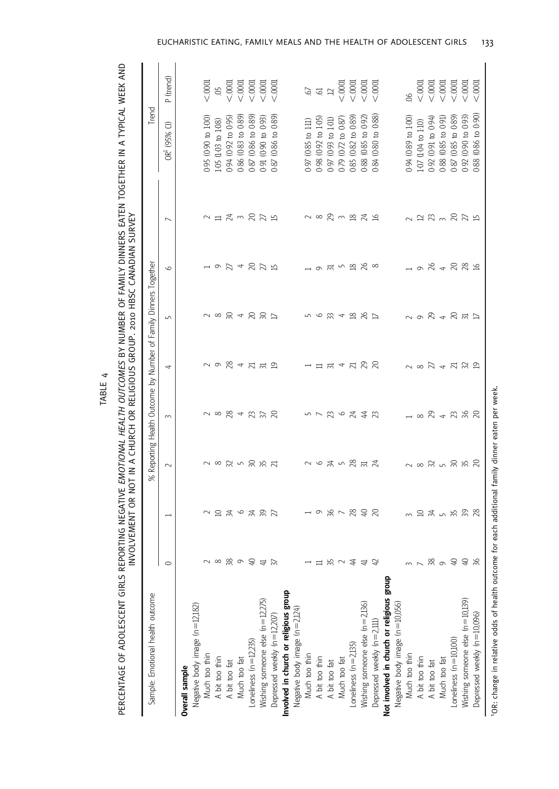| ۰ |  |
|---|--|
|   |  |
|   |  |
|   |  |

PERCENTAGE OF ADOLESCENT GIRLS REPORTING NEGATIVE *EMOTIONAL HEALTH OUTCOMES* BY NUMBER OF FAMILY DINNERS EATEN TOGETHER IN A TYPICAL WEEK AND<br>INVOLVEMENT INVOLVEMENT OR NOT IN A CHURCH OR RELIGIOUS GROUP. 2010 HBSC CANADI PERCENTAGE OF ADOLESCENT GIRLS REPORTING NEGATIVE EMOTIONAL HEALTH OUTCOMES BY NUMBER OF FAMILY DINNERS EATEN TOGETHER IN A TYPICAL WEEK AND INVOLVEMENT OR NOT IN A CHURCH OR RELIGIOUS GROUP. 2010 HBSC CANADIAN SURVEY

| Sample: Emotional health outcome                                                                            |               |                          | $\aleph$       |                                                                            |                                                        | Reporting Health Outcome by Number of Family Dinners Together      |               |                                                                                                                                                                           | Trend                                    |                                                                                                                                                                                                                                                                                                                                                                                                                                                                                               |
|-------------------------------------------------------------------------------------------------------------|---------------|--------------------------|----------------|----------------------------------------------------------------------------|--------------------------------------------------------|--------------------------------------------------------------------|---------------|---------------------------------------------------------------------------------------------------------------------------------------------------------------------------|------------------------------------------|-----------------------------------------------------------------------------------------------------------------------------------------------------------------------------------------------------------------------------------------------------------------------------------------------------------------------------------------------------------------------------------------------------------------------------------------------------------------------------------------------|
|                                                                                                             |               | $\overline{\phantom{0}}$ | $\sim$         | $\sim$                                                                     | 4                                                      | $\overline{1}$                                                     | $\circ$       | $\overline{\phantom{0}}$                                                                                                                                                  | Ξ<br>OR <sup>1</sup> (95%                | P (trend)                                                                                                                                                                                                                                                                                                                                                                                                                                                                                     |
| Overall sample                                                                                              |               |                          |                |                                                                            |                                                        |                                                                    |               |                                                                                                                                                                           |                                          |                                                                                                                                                                                                                                                                                                                                                                                                                                                                                               |
| Negative body image (n=12,182)                                                                              |               |                          |                |                                                                            |                                                        |                                                                    |               |                                                                                                                                                                           |                                          |                                                                                                                                                                                                                                                                                                                                                                                                                                                                                               |
| Much too thin                                                                                               |               |                          |                |                                                                            |                                                        |                                                                    |               |                                                                                                                                                                           | 0.95 (0.90 to 1.00                       |                                                                                                                                                                                                                                                                                                                                                                                                                                                                                               |
| A bit too thin                                                                                              |               |                          |                |                                                                            |                                                        |                                                                    |               |                                                                                                                                                                           | 1.05 (1.03 to 1.08)                      |                                                                                                                                                                                                                                                                                                                                                                                                                                                                                               |
| A bit too fat                                                                                               | ∞ ※ ♪ ⇔ ≠ ½   | 2mみ6み辺ぴ                  | 28辺5辺近辺        | $\sim \infty \otimes 4 \otimes 7$                                          | $\begin{array}{c}\n0 \\ 0 \\ 0 \\ 0 \\ 0\n\end{array}$ | $\begin{array}{c}\n 0.86 \\  0.87 \\  0.87 \\  0.87\n \end{array}$ | っぴょとぴせ        | $\sim$ $\equiv$ $\stackrel{<}{\sim}$ $\sim$ $\stackrel{<}{\sim}$ $\stackrel{<}{\sim}$ $\stackrel{<}{\sim}$ $\stackrel{<}{\sim}$ $\stackrel{<}{\sim}$ $\stackrel{<}{\sim}$ | 0.94 (0.92 to 0.95)                      |                                                                                                                                                                                                                                                                                                                                                                                                                                                                                               |
| Much too fat                                                                                                |               |                          |                |                                                                            |                                                        |                                                                    |               |                                                                                                                                                                           | 086 (083 to 089                          |                                                                                                                                                                                                                                                                                                                                                                                                                                                                                               |
| $onelines$ ( $n=12,235$ )                                                                                   |               |                          |                |                                                                            |                                                        |                                                                    |               |                                                                                                                                                                           | $(0.86 \text{ to } 0.89)$<br>0.87        |                                                                                                                                                                                                                                                                                                                                                                                                                                                                                               |
| Wishing someone else (n=12,275)                                                                             |               |                          |                |                                                                            |                                                        |                                                                    |               |                                                                                                                                                                           | (E60 o1 060) I60                         |                                                                                                                                                                                                                                                                                                                                                                                                                                                                                               |
| Depressed weekly (n=12,207)                                                                                 |               |                          |                |                                                                            |                                                        |                                                                    |               |                                                                                                                                                                           | $(0.86 \text{ to } 0.89)$<br>0.87        |                                                                                                                                                                                                                                                                                                                                                                                                                                                                                               |
| Involved in church or religious group                                                                       |               |                          |                |                                                                            |                                                        |                                                                    |               |                                                                                                                                                                           |                                          |                                                                                                                                                                                                                                                                                                                                                                                                                                                                                               |
| Negative body image (n=2,124)                                                                               |               |                          |                |                                                                            |                                                        |                                                                    |               |                                                                                                                                                                           |                                          |                                                                                                                                                                                                                                                                                                                                                                                                                                                                                               |
| Much too thin                                                                                               |               |                          |                |                                                                            |                                                        |                                                                    |               |                                                                                                                                                                           | $\,$ to 141) $\,$<br>(0.85)<br>0.97      |                                                                                                                                                                                                                                                                                                                                                                                                                                                                                               |
| A bit too thin                                                                                              | $ -$          |                          |                |                                                                            |                                                        |                                                                    |               |                                                                                                                                                                           | 0.98 (0.92 to 1.05)                      |                                                                                                                                                                                                                                                                                                                                                                                                                                                                                               |
| A bit too fat                                                                                               | ちくはに          |                          |                |                                                                            |                                                        |                                                                    |               |                                                                                                                                                                           | 0.97 (0.93 to 1.01)                      |                                                                                                                                                                                                                                                                                                                                                                                                                                                                                               |
| Much too fat                                                                                                |               |                          |                |                                                                            |                                                        |                                                                    |               |                                                                                                                                                                           | $(0.72 \text{ to } 0.87)$<br>0.79        |                                                                                                                                                                                                                                                                                                                                                                                                                                                                                               |
| Loneliness $(n=2,135)$                                                                                      |               |                          |                |                                                                            |                                                        |                                                                    |               |                                                                                                                                                                           | 0.82 to 0.89<br>0.85                     |                                                                                                                                                                                                                                                                                                                                                                                                                                                                                               |
| Wishing someone else (n=2,136)                                                                              |               | 19%7%のの                  | 26 25 26 26 27 | 57M6M48                                                                    | 1114122                                                |                                                                    | → 9 孔 5 路 % 8 |                                                                                                                                                                           | to 0.92<br>(0.85)<br>0.88                | $\begin{array}{c} \mathcal{Q} \\ \mathcal{Q} \\ \mathcal{Q} \\ \mathcal{Q} \\ \mathcal{Q} \\ \mathcal{Q} \\ \mathcal{Q} \\ \mathcal{Q} \\ \mathcal{Q} \\ \mathcal{Q} \\ \mathcal{Q} \\ \mathcal{Q} \\ \mathcal{Q} \\ \mathcal{Q} \\ \mathcal{Q} \\ \mathcal{Q} \\ \mathcal{Q} \\ \mathcal{Q} \\ \mathcal{Q} \\ \mathcal{Q} \\ \mathcal{Q} \\ \mathcal{Q} \\ \mathcal{Q} \\ \mathcal{Q} \\ \mathcal{Q} \\ \mathcal{Q} \\ \mathcal{Q} \\ \mathcal{Q} \\ \mathcal{Q} \\ \mathcal{Q} \\ \mathcal$ |
| Depressed weekly (n=2,111)                                                                                  |               |                          |                |                                                                            |                                                        | 5 6 7 8 8 7                                                        |               |                                                                                                                                                                           | $(0.80)$ to $0.88$<br>0.84               |                                                                                                                                                                                                                                                                                                                                                                                                                                                                                               |
| Not involved in church or religious group                                                                   |               |                          |                |                                                                            |                                                        |                                                                    |               |                                                                                                                                                                           |                                          |                                                                                                                                                                                                                                                                                                                                                                                                                                                                                               |
| Negative body image (n=10,056)                                                                              |               |                          |                |                                                                            |                                                        |                                                                    |               |                                                                                                                                                                           |                                          |                                                                                                                                                                                                                                                                                                                                                                                                                                                                                               |
| Much too thin                                                                                               |               |                          |                |                                                                            |                                                        |                                                                    |               |                                                                                                                                                                           | 0.94 (0.89 to 1.00)                      | $\frac{6}{2}$                                                                                                                                                                                                                                                                                                                                                                                                                                                                                 |
| A bit too thin                                                                                              |               |                          |                |                                                                            |                                                        |                                                                    |               |                                                                                                                                                                           | 107 (104 to 1:10)                        |                                                                                                                                                                                                                                                                                                                                                                                                                                                                                               |
| A bit too fat                                                                                               | $\frac{8}{2}$ |                          |                |                                                                            |                                                        |                                                                    |               |                                                                                                                                                                           | (0.91 to 0.94)<br>0.92                   |                                                                                                                                                                                                                                                                                                                                                                                                                                                                                               |
| Much too fat                                                                                                |               |                          |                |                                                                            |                                                        |                                                                    |               |                                                                                                                                                                           | 0-88 (0-85 to 0-91                       |                                                                                                                                                                                                                                                                                                                                                                                                                                                                                               |
| Loneliness $(n=10,100)$                                                                                     |               |                          | 2835832        | $\frac{1}{2} \otimes \mathbb{R} \rightarrow \mathbb{R} \otimes \mathbb{R}$ |                                                        | $N \circ R + R \times D$                                           | 19848819      | 2 1 2 2 2 2 4                                                                                                                                                             | 087 (085 to 089)                         |                                                                                                                                                                                                                                                                                                                                                                                                                                                                                               |
| Wishing someone else (n=10,139)                                                                             | $\supsetneq$  |                          |                |                                                                            |                                                        |                                                                    |               |                                                                                                                                                                           | (60000000)<br>0.92                       |                                                                                                                                                                                                                                                                                                                                                                                                                                                                                               |
| Depressed weekly (n=10,096)                                                                                 | $\frac{8}{2}$ |                          |                |                                                                            |                                                        |                                                                    |               |                                                                                                                                                                           | (0.90)<br>$\mathtt{Q}$<br>(0.86)<br>0.88 |                                                                                                                                                                                                                                                                                                                                                                                                                                                                                               |
| <sup>1</sup> OR: change in relative odds of health outcome for each additional family dinner eaten per week |               |                          |                |                                                                            |                                                        |                                                                    |               |                                                                                                                                                                           |                                          |                                                                                                                                                                                                                                                                                                                                                                                                                                                                                               |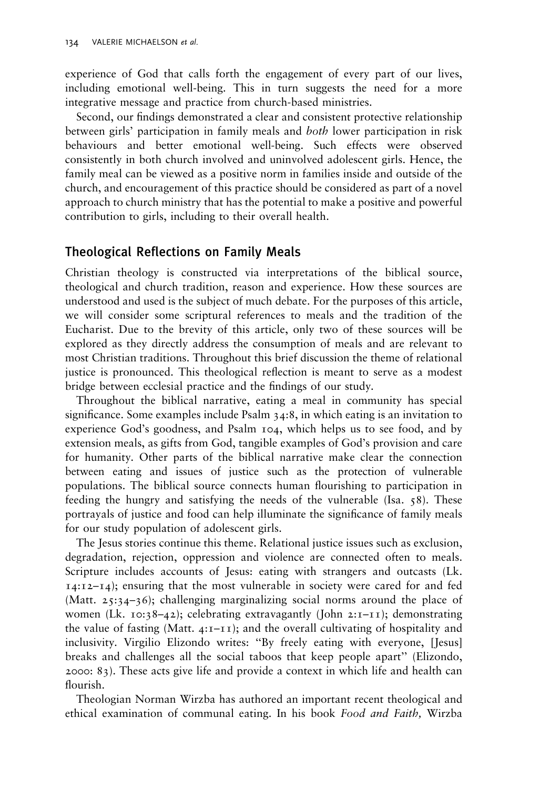experience of God that calls forth the engagement of every part of our lives, including emotional well-being. This in turn suggests the need for a more integrative message and practice from church-based ministries.

Second, our findings demonstrated a clear and consistent protective relationship between girls' participation in family meals and both lower participation in risk behaviours and better emotional well-being. Such effects were observed consistently in both church involved and uninvolved adolescent girls. Hence, the family meal can be viewed as a positive norm in families inside and outside of the church, and encouragement of this practice should be considered as part of a novel approach to church ministry that has the potential to make a positive and powerful contribution to girls, including to their overall health.

# Theological Reflections on Family Meals

Christian theology is constructed via interpretations of the biblical source, theological and church tradition, reason and experience. How these sources are understood and used is the subject of much debate. For the purposes of this article, we will consider some scriptural references to meals and the tradition of the Eucharist. Due to the brevity of this article, only two of these sources will be explored as they directly address the consumption of meals and are relevant to most Christian traditions. Throughout this brief discussion the theme of relational justice is pronounced. This theological reflection is meant to serve as a modest bridge between ecclesial practice and the findings of our study.

Throughout the biblical narrative, eating a meal in community has special significance. Some examples include Psalm 34:8, in which eating is an invitation to experience God's goodness, and Psalm 104, which helps us to see food, and by extension meals, as gifts from God, tangible examples of God's provision and care for humanity. Other parts of the biblical narrative make clear the connection between eating and issues of justice such as the protection of vulnerable populations. The biblical source connects human flourishing to participation in feeding the hungry and satisfying the needs of the vulnerable (Isa. 58). These portrayals of justice and food can help illuminate the significance of family meals for our study population of adolescent girls.

The Jesus stories continue this theme. Relational justice issues such as exclusion, degradation, rejection, oppression and violence are connected often to meals. Scripture includes accounts of Jesus: eating with strangers and outcasts (Lk. 14:12–14); ensuring that the most vulnerable in society were cared for and fed (Matt. 25:34–36); challenging marginalizing social norms around the place of women (Lk. 10:38–42); celebrating extravagantly (John 2:1–11); demonstrating the value of fasting (Matt. 4:1–11); and the overall cultivating of hospitality and inclusivity. Virgilio Elizondo writes: ''By freely eating with everyone, [Jesus] breaks and challenges all the social taboos that keep people apart'' (Elizondo, 2000: 83). These acts give life and provide a context in which life and health can flourish.

Theologian Norman Wirzba has authored an important recent theological and ethical examination of communal eating. In his book Food and Faith, Wirzba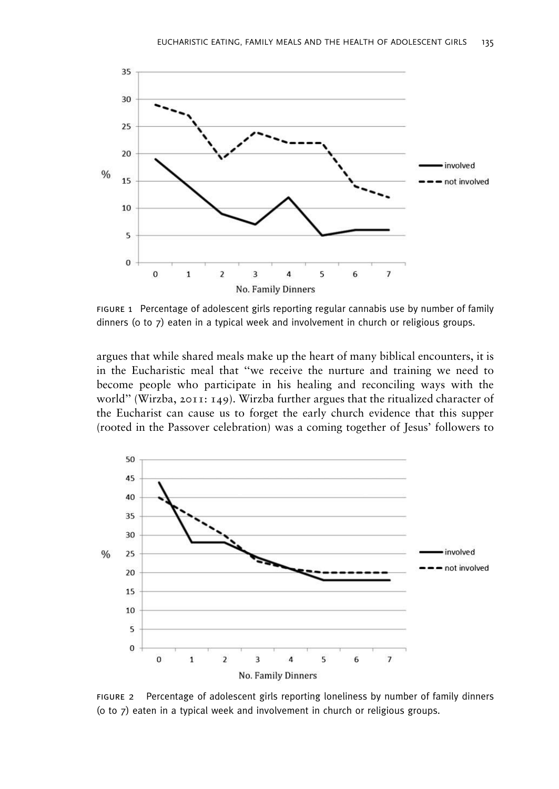

figure 1 Percentage of adolescent girls reporting regular cannabis use by number of family dinners (0 to 7) eaten in a typical week and involvement in church or religious groups.

argues that while shared meals make up the heart of many biblical encounters, it is in the Eucharistic meal that ''we receive the nurture and training we need to become people who participate in his healing and reconciling ways with the world'' (Wirzba, 2011: 149). Wirzba further argues that the ritualized character of the Eucharist can cause us to forget the early church evidence that this supper (rooted in the Passover celebration) was a coming together of Jesus' followers to



figure 2 Percentage of adolescent girls reporting loneliness by number of family dinners (0 to 7) eaten in a typical week and involvement in church or religious groups.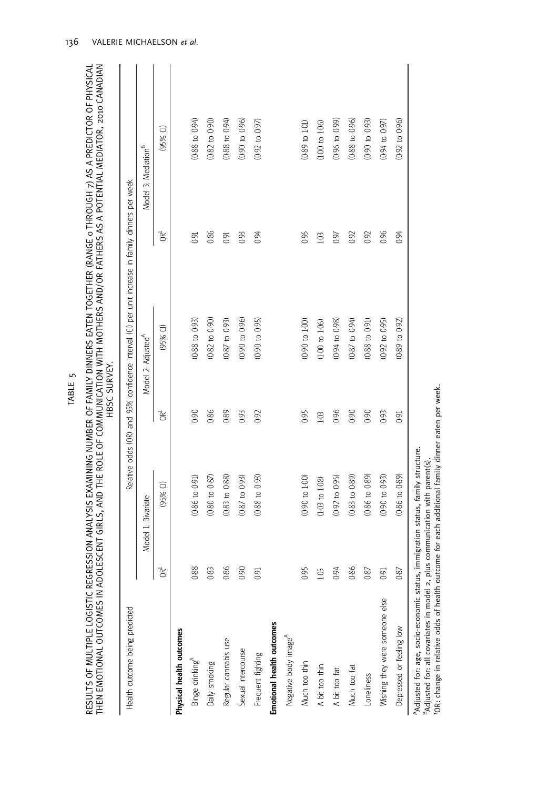|                                        |      |                                     | HBSC SURVEY.   |                                                                                                  |                |                                 |  |
|----------------------------------------|------|-------------------------------------|----------------|--------------------------------------------------------------------------------------------------|----------------|---------------------------------|--|
| Health outcome being predicted         |      |                                     |                | Relative odds (OR) and 95% confidence interval (CI) per unit increase in family dinners per week |                |                                 |  |
|                                        |      | Model 1: Bivariate                  |                | Model 2: Adjusted <sup>A</sup>                                                                   |                | Model 3: Mediation <sup>B</sup> |  |
|                                        | É    | $(95%$ CI                           | ิธี            | $(95%$ CI)                                                                                       | È              | $(95%$ Cl                       |  |
| Physical health outcomes               |      |                                     |                |                                                                                                  |                |                                 |  |
| Binge drinking                         | 0.88 | $(0.86 \text{ to } 0.91)$           | 0.90           | (0.88 t0 0.93)                                                                                   | 0.91           | (0.88 to 0.94)                  |  |
| Daily smoking                          | 0.83 | $(0.80)$ to $0.87$                  | 0.86           | (0.82 to 0.90)                                                                                   | 0.86           | $(0.82 \text{ to } 0.90)$       |  |
| Regular cannabis use                   | 0.86 | $(0.83)$ to $0.88$                  | 0.89           | $(0.87)$ to 0.93)                                                                                | 0.91           | $(0.88 \text{ to } 0.94)$       |  |
| Sexual intercourse                     | 0.90 | $(0.87)$ to 0.93)                   | 0.93           | $0.90$ to $0.96$                                                                                 | 0.93           | $(0.90 \text{ to } 0.96)$       |  |
| Frequent fighting                      | 0.91 | $(0.88 \text{ to } 0.93)$           | C <sub>6</sub> | $(0.90 \text{ to } 0.95)$                                                                        | 0.94           | $(0.92 \text{ to } 0.97)$       |  |
| Emotional health outcomes              |      |                                     |                |                                                                                                  |                |                                 |  |
| Negative body image <sup>A</sup>       |      |                                     |                |                                                                                                  |                |                                 |  |
| Much too thin                          | 0.95 | (0.90 to 1.00)                      | 0.95           | (0.90 to 1.00)                                                                                   | 0.95           | $(0.89 \text{ to } 1.01)$       |  |
| A bit too thin                         | 105  | $(1.03 \text{ to } 1.08)$           | 1.03           | (1.00 to 1.06)                                                                                   | 103            | $(1-00 to 1-06)$                |  |
| A bit too fat                          | 0.94 | $(0.92 \text{ to } 0.95)$           | 0.96           | (0.94 to 0.98)                                                                                   | $6 - 0$        | $(660 \text{ o } 960)$          |  |
| Much too fat                           | 0.86 | $(0.83)$ to $0.89$ )                | 0.90           | $(0.87 \text{ to } 0.94)$                                                                        | 0.92           | $(0.88 \text{ to } 0.96)$       |  |
| Loneliness                             | 0.87 | (0.86 to 0.89)                      | 0.90           | (0.88 t 0.91)                                                                                    | C <sub>6</sub> | $(6.0 \text{ to } 0.60)$        |  |
| Wishing they were someone else         | 0.91 | (0.90 to 0.93)                      | (0.9)          | $(0.92 \text{ to } 0.95)$                                                                        | 0.96           | $(0.94 \text{ to } 0.97)$       |  |
| Depressed or feeling low               | 0.87 | $(0.86 \text{ to } 0.89)$           | 0.91           | $(0.89 \text{ to } 0.92)$                                                                        | 0.94           | (0.92 to 0.96)                  |  |
| Andiusted for age code economic status |      | immiaration atatua family atrusture |                |                                                                                                  |                |                                 |  |

RESULTS OF MULTIPLE LOGISTIC REGRESSION ANALYSIS EXAMINING NUMBER OF FAMILY DINNERS EATEN TOGETHER (RANGE o THROUGH 7) AS A PREDICTOR OF PHYSICAL<br>THEN EMOTIONAL OUTCOMES IN ADOLESCENT GIRLS, AND THE ROLE OF COMMUNICATION W RESULTS OF MULTIPLE LOGISTIC REGRESSION ANALYSIS EXAMINING NUMBER OF FAMILY DINNERS EATEN TOGETHER (RANGE 0 THROUGH 7) AS A PREDICTOR OF PHYSICAL THEN EMOTIONAL OUTCOMES IN ADOLESCENT GIRLS, AND THE ROLE OF COMMUNICATION WITH MOTHERS AND/OR FATHERS AS A POTENTIAL MEDIATOR, 2010 CANADIAN

TABLE 5

Aajustea ror: age, socio-economigratus, immigratus, ramiy structure. AAdjusted for: age, socio-economic status, immigration status, family structure. BAdjusted for: all covariates in model 2, plus communication with parent(s).

<sup>9</sup>Adjusted for: all covariates in model 2, plus communication with parent(s).<br>'OR: change in relative odds of health outcome for each additional family dinner eaten per week. 1OR: change in relative odds of health outcome for each additional family dinner eaten per week.

136 VALERIE MICHAELSON et al.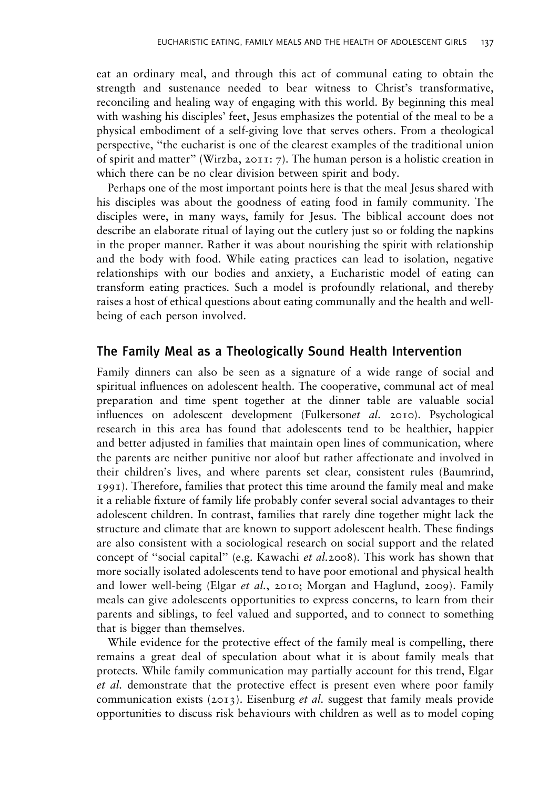eat an ordinary meal, and through this act of communal eating to obtain the strength and sustenance needed to bear witness to Christ's transformative, reconciling and healing way of engaging with this world. By beginning this meal with washing his disciples' feet, Jesus emphasizes the potential of the meal to be a physical embodiment of a self-giving love that serves others. From a theological perspective, ''the eucharist is one of the clearest examples of the traditional union of spirit and matter'' (Wirzba, 2011: 7). The human person is a holistic creation in which there can be no clear division between spirit and body.

Perhaps one of the most important points here is that the meal Jesus shared with his disciples was about the goodness of eating food in family community. The disciples were, in many ways, family for Jesus. The biblical account does not describe an elaborate ritual of laying out the cutlery just so or folding the napkins in the proper manner. Rather it was about nourishing the spirit with relationship and the body with food. While eating practices can lead to isolation, negative relationships with our bodies and anxiety, a Eucharistic model of eating can transform eating practices. Such a model is profoundly relational, and thereby raises a host of ethical questions about eating communally and the health and wellbeing of each person involved.

#### The Family Meal as a Theologically Sound Health Intervention

Family dinners can also be seen as a signature of a wide range of social and spiritual influences on adolescent health. The cooperative, communal act of meal preparation and time spent together at the dinner table are valuable social influences on adolescent development (Fulkersonet al. 2010). Psychological research in this area has found that adolescents tend to be healthier, happier and better adjusted in families that maintain open lines of communication, where the parents are neither punitive nor aloof but rather affectionate and involved in their children's lives, and where parents set clear, consistent rules (Baumrind, 1991). Therefore, families that protect this time around the family meal and make it a reliable fixture of family life probably confer several social advantages to their adolescent children. In contrast, families that rarely dine together might lack the structure and climate that are known to support adolescent health. These findings are also consistent with a sociological research on social support and the related concept of ''social capital'' (e.g. Kawachi et al.2008). This work has shown that more socially isolated adolescents tend to have poor emotional and physical health and lower well-being (Elgar et al., 2010; Morgan and Haglund, 2009). Family meals can give adolescents opportunities to express concerns, to learn from their parents and siblings, to feel valued and supported, and to connect to something that is bigger than themselves.

While evidence for the protective effect of the family meal is compelling, there remains a great deal of speculation about what it is about family meals that protects. While family communication may partially account for this trend, Elgar et al. demonstrate that the protective effect is present even where poor family communication exists (2013). Eisenburg *et al.* suggest that family meals provide opportunities to discuss risk behaviours with children as well as to model coping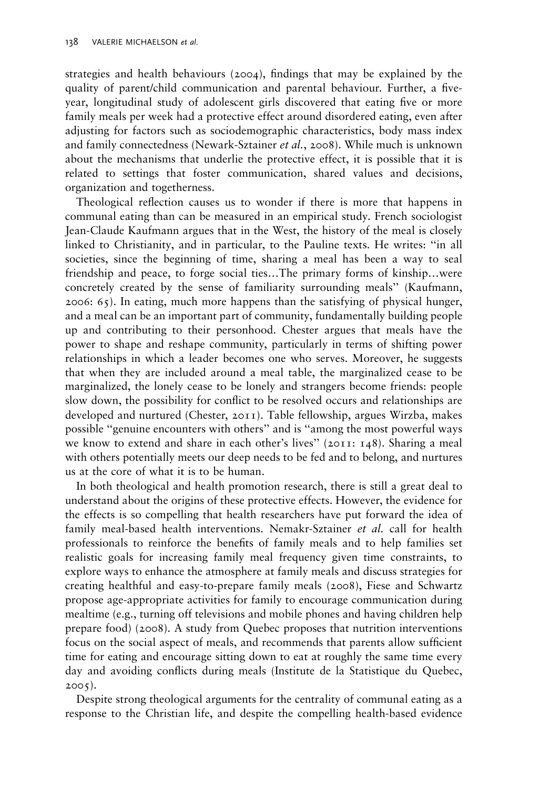strategies and health behaviours (2004), findings that may be explained by the quality of parent/child communication and parental behaviour. Further, a fiveyear, longitudinal study of adolescent girls discovered that eating five or more family meals per week had a protective effect around disordered eating, even after adjusting for factors such as sociodemographic characteristics, body mass index and family connectedness (Newark-Sztainer et al., 2008). While much is unknown about the mechanisms that underlie the protective effect, it is possible that it is related to settings that foster communication, shared values and decisions, organization and togetherness.

Theological reflection causes us to wonder if there is more that happens in communal eating than can be measured in an empirical study. French sociologist Jean-Claude Kaufmann argues that in the West, the history of the meal is closely linked to Christianity, and in particular, to the Pauline texts. He writes: ''in all societies, since the beginning of time, sharing a meal has been a way to seal friendship and peace, to forge social ties…The primary forms of kinship…were concretely created by the sense of familiarity surrounding meals'' (Kaufmann, 2006: 65). In eating, much more happens than the satisfying of physical hunger, and a meal can be an important part of community, fundamentally building people up and contributing to their personhood. Chester argues that meals have the power to shape and reshape community, particularly in terms of shifting power relationships in which a leader becomes one who serves. Moreover, he suggests that when they are included around a meal table, the marginalized cease to be marginalized, the lonely cease to be lonely and strangers become friends: people slow down, the possibility for conflict to be resolved occurs and relationships are developed and nurtured (Chester, 2011). Table fellowship, argues Wirzba, makes possible ''genuine encounters with others'' and is ''among the most powerful ways we know to extend and share in each other's lives'' (2011: 148). Sharing a meal with others potentially meets our deep needs to be fed and to belong, and nurtures us at the core of what it is to be human.

In both theological and health promotion research, there is still a great deal to understand about the origins of these protective effects. However, the evidence for the effects is so compelling that health researchers have put forward the idea of family meal-based health interventions. Nemakr-Sztainer et al. call for health professionals to reinforce the benefits of family meals and to help families set realistic goals for increasing family meal frequency given time constraints, to explore ways to enhance the atmosphere at family meals and discuss strategies for creating healthful and easy-to-prepare family meals (2008), Fiese and Schwartz propose age-appropriate activities for family to encourage communication during mealtime (e.g., turning off televisions and mobile phones and having children help prepare food) (2008). A study from Quebec proposes that nutrition interventions focus on the social aspect of meals, and recommends that parents allow sufficient time for eating and encourage sitting down to eat at roughly the same time every day and avoiding conflicts during meals (Institute de la Statistique du Quebec, 2005).

Despite strong theological arguments for the centrality of communal eating as a response to the Christian life, and despite the compelling health-based evidence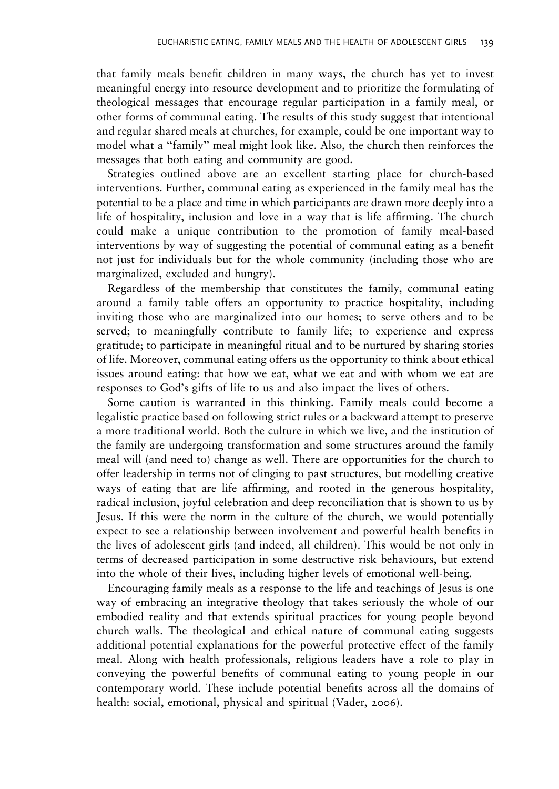that family meals benefit children in many ways, the church has yet to invest meaningful energy into resource development and to prioritize the formulating of theological messages that encourage regular participation in a family meal, or other forms of communal eating. The results of this study suggest that intentional and regular shared meals at churches, for example, could be one important way to model what a ''family'' meal might look like. Also, the church then reinforces the messages that both eating and community are good.

Strategies outlined above are an excellent starting place for church-based interventions. Further, communal eating as experienced in the family meal has the potential to be a place and time in which participants are drawn more deeply into a life of hospitality, inclusion and love in a way that is life affirming. The church could make a unique contribution to the promotion of family meal-based interventions by way of suggesting the potential of communal eating as a benefit not just for individuals but for the whole community (including those who are marginalized, excluded and hungry).

Regardless of the membership that constitutes the family, communal eating around a family table offers an opportunity to practice hospitality, including inviting those who are marginalized into our homes; to serve others and to be served; to meaningfully contribute to family life; to experience and express gratitude; to participate in meaningful ritual and to be nurtured by sharing stories of life. Moreover, communal eating offers us the opportunity to think about ethical issues around eating: that how we eat, what we eat and with whom we eat are responses to God's gifts of life to us and also impact the lives of others.

Some caution is warranted in this thinking. Family meals could become a legalistic practice based on following strict rules or a backward attempt to preserve a more traditional world. Both the culture in which we live, and the institution of the family are undergoing transformation and some structures around the family meal will (and need to) change as well. There are opportunities for the church to offer leadership in terms not of clinging to past structures, but modelling creative ways of eating that are life affirming, and rooted in the generous hospitality, radical inclusion, joyful celebration and deep reconciliation that is shown to us by Jesus. If this were the norm in the culture of the church, we would potentially expect to see a relationship between involvement and powerful health benefits in the lives of adolescent girls (and indeed, all children). This would be not only in terms of decreased participation in some destructive risk behaviours, but extend into the whole of their lives, including higher levels of emotional well-being.

Encouraging family meals as a response to the life and teachings of Jesus is one way of embracing an integrative theology that takes seriously the whole of our embodied reality and that extends spiritual practices for young people beyond church walls. The theological and ethical nature of communal eating suggests additional potential explanations for the powerful protective effect of the family meal. Along with health professionals, religious leaders have a role to play in conveying the powerful benefits of communal eating to young people in our contemporary world. These include potential benefits across all the domains of health: social, emotional, physical and spiritual (Vader, 2006).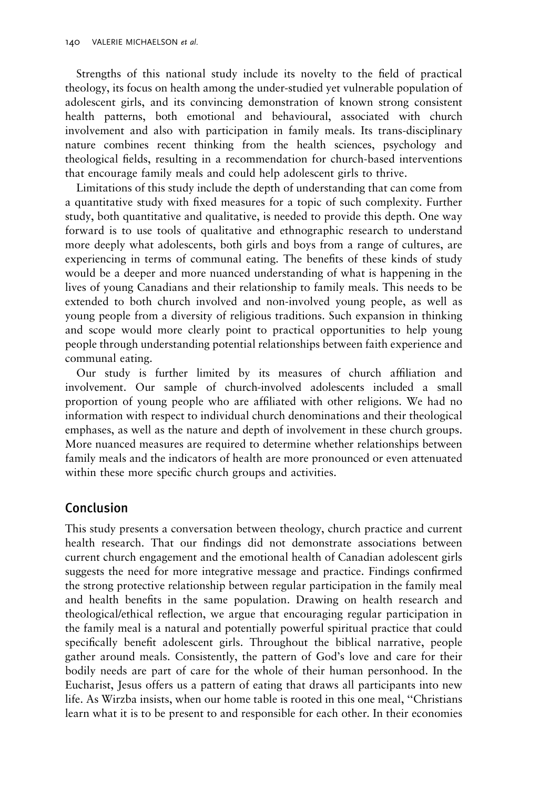Strengths of this national study include its novelty to the field of practical theology, its focus on health among the under-studied yet vulnerable population of adolescent girls, and its convincing demonstration of known strong consistent health patterns, both emotional and behavioural, associated with church involvement and also with participation in family meals. Its trans-disciplinary nature combines recent thinking from the health sciences, psychology and theological fields, resulting in a recommendation for church-based interventions that encourage family meals and could help adolescent girls to thrive.

Limitations of this study include the depth of understanding that can come from a quantitative study with fixed measures for a topic of such complexity. Further study, both quantitative and qualitative, is needed to provide this depth. One way forward is to use tools of qualitative and ethnographic research to understand more deeply what adolescents, both girls and boys from a range of cultures, are experiencing in terms of communal eating. The benefits of these kinds of study would be a deeper and more nuanced understanding of what is happening in the lives of young Canadians and their relationship to family meals. This needs to be extended to both church involved and non-involved young people, as well as young people from a diversity of religious traditions. Such expansion in thinking and scope would more clearly point to practical opportunities to help young people through understanding potential relationships between faith experience and communal eating.

Our study is further limited by its measures of church affiliation and involvement. Our sample of church-involved adolescents included a small proportion of young people who are affiliated with other religions. We had no information with respect to individual church denominations and their theological emphases, as well as the nature and depth of involvement in these church groups. More nuanced measures are required to determine whether relationships between family meals and the indicators of health are more pronounced or even attenuated within these more specific church groups and activities.

# Conclusion

This study presents a conversation between theology, church practice and current health research. That our findings did not demonstrate associations between current church engagement and the emotional health of Canadian adolescent girls suggests the need for more integrative message and practice. Findings confirmed the strong protective relationship between regular participation in the family meal and health benefits in the same population. Drawing on health research and theological/ethical reflection, we argue that encouraging regular participation in the family meal is a natural and potentially powerful spiritual practice that could specifically benefit adolescent girls. Throughout the biblical narrative, people gather around meals. Consistently, the pattern of God's love and care for their bodily needs are part of care for the whole of their human personhood. In the Eucharist, Jesus offers us a pattern of eating that draws all participants into new life. As Wirzba insists, when our home table is rooted in this one meal, ''Christians learn what it is to be present to and responsible for each other. In their economies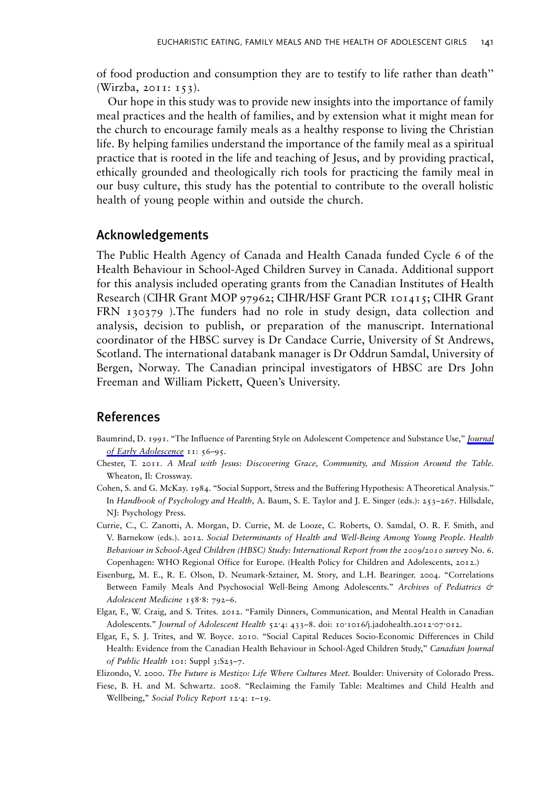of food production and consumption they are to testify to life rather than death'' (Wirzba, 2011: 153).

Our hope in this study was to provide new insights into the importance of family meal practices and the health of families, and by extension what it might mean for the church to encourage family meals as a healthy response to living the Christian life. By helping families understand the importance of the family meal as a spiritual practice that is rooted in the life and teaching of Jesus, and by providing practical, ethically grounded and theologically rich tools for practicing the family meal in our busy culture, this study has the potential to contribute to the overall holistic health of young people within and outside the church.

# Acknowledgements

The Public Health Agency of Canada and Health Canada funded Cycle 6 of the Health Behaviour in School-Aged Children Survey in Canada. Additional support for this analysis included operating grants from the Canadian Institutes of Health Research (CIHR Grant MOP 97962; CIHR/HSF Grant PCR 101415; CIHR Grant FRN 130379 ).The funders had no role in study design, data collection and analysis, decision to publish, or preparation of the manuscript. International coordinator of the HBSC survey is Dr Candace Currie, University of St Andrews, Scotland. The international databank manager is Dr Oddrun Samdal, University of Bergen, Norway. The Canadian principal investigators of HBSC are Drs John Freeman and William Pickett, Queen's University.

# References

- Baumrind, D. 1991. "The Influence of Parenting Style on Adolescent Competence and Substance Use," *[Journal](http://www.maneyonline.com/action/showLinks?crossref=10.1177%2F0272431691111004)* [of Early Adolescence](http://www.maneyonline.com/action/showLinks?crossref=10.1177%2F0272431691111004) 11: 56–95.
- Chester, T. 2011. A Meal with Jesus: Discovering Grace, Community, and Mission Around the Table. Wheaton, Il: Crossway.
- Cohen, S. and G. McKay. 1984. ''Social Support, Stress and the Buffering Hypothesis: A Theoretical Analysis.'' In Handbook of Psychology and Health, A. Baum, S. E. Taylor and J. E. Singer (eds.): 253–267. Hillsdale, NJ: Psychology Press.
- Currie, C., C. Zanotti, A. Morgan, D. Currie, M. de Looze, C. Roberts, O. Samdal, O. R. F. Smith, and V. Barnekow (eds.). 2012. Social Determinants of Health and Well-Being Among Young People. Health Behaviour in School-Aged Children (HBSC) Study: International Report from the 2009/2010 survey No. 6. Copenhagen: WHO Regional Office for Europe. (Health Policy for Children and Adolescents, 2012.)
- Eisenburg, M. E., R. E. Olson, D. Neumark-Sztainer, M. Story, and L.H. Bearinger. 2004. ''Correlations Between Family Meals And Psychosocial Well-Being Among Adolescents." Archives of Pediatrics & Adolescent Medicine 158.8: 792–6.
- Elgar, F., W. Craig, and S. Trites. 2012. ''Family Dinners, Communication, and Mental Health in Canadian Adolescents." Journal of Adolescent Health 52.4: 433-8. doi: 10.1016/j.jadohealth.2012.07.012.
- Elgar, F., S. J. Trites, and W. Boyce. 2010. ''Social Capital Reduces Socio-Economic Differences in Child Health: Evidence from the Canadian Health Behaviour in School-Aged Children Study,'' Canadian Journal of Public Health 101: Suppl 3:S23–7.
- Elizondo, V. 2000. The Future is Mestizo: Life Where Cultures Meet. Boulder: University of Colorado Press.
- Fiese, B. H. and M. Schwartz. 2008. ''Reclaiming the Family Table: Mealtimes and Child Health and Wellbeing,'' Social Policy Report 12.4: 1–19.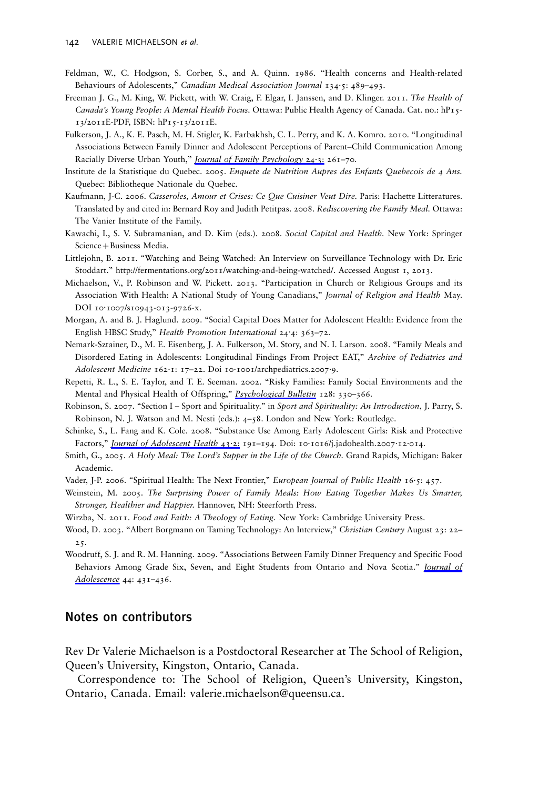- Feldman, W., C. Hodgson, S. Corber, S., and A. Quinn. 1986. ''Health concerns and Health-related Behaviours of Adolescents," Canadian Medical Association Journal 134.5: 489-493.
- Freeman J. G., M. King, W. Pickett, with W. Craig, F. Elgar, I. Janssen, and D. Klinger. 2011. The Health of Canada's Young People: A Mental Health Focus. Ottawa: Public Health Agency of Canada. Cat. no.: hP15-13/2011E-PDF, ISBN: hP15-13/2011E.
- Fulkerson, J. A., K. E. Pasch, M. H. Stigler, K. Farbakhsh, C. L. Perry, and K. A. Komro. 2010. ''Longitudinal Associations Between Family Dinner and Adolescent Perceptions of Parent–Child Communication Among Racially Diverse Urban Youth,'' [Journal of Family Psychology](http://www.maneyonline.com/action/showLinks?crossref=10.1037%2Fa0019311) 24.3: 261–70.
- Institute de la Statistique du Quebec. 2005. Enquete de Nutrition Aupres des Enfants Quebecois de 4 Ans. Quebec: Bibliotheque Nationale du Quebec.
- Kaufmann, J-C. 2006. Casseroles, Amour et Crises: Ce Que Cuisiner Veut Dire. Paris: Hachette Litteratures. Translated by and cited in: Bernard Roy and Judith Petitpas. 2008. Rediscovering the Family Meal. Ottawa: The Vanier Institute of the Family.
- Kawachi, I., S. V. Subramanian, and D. Kim (eds.). 2008. Social Capital and Health. New York: Springer Science + Business Media.
- Littlejohn, B. 2011. ''Watching and Being Watched: An Interview on Surveillance Technology with Dr. Eric Stoddart.'' http://fermentations.org/2011/watching-and-being-watched/. Accessed August 1, 2013.
- Michaelson, V., P. Robinson and W. Pickett. 2013. ''Participation in Church or Religious Groups and its Association With Health: A National Study of Young Canadians,'' Journal of Religion and Health May. DOI 10.1007/810943-013-9726-x.
- Morgan, A. and B. J. Haglund. 2009. ''Social Capital Does Matter for Adolescent Health: Evidence from the English HBSC Study,'' Health Promotion International 24.4: 363–72.
- Nemark-Sztainer, D., M. E. Eisenberg, J. A. Fulkerson, M. Story, and N. I. Larson. 2008. ''Family Meals and Disordered Eating in Adolescents: Longitudinal Findings From Project EAT," Archive of Pediatrics and Adolescent Medicine 162.1: 17-22. Doi 10.1001/archpediatrics.2007.9.
- Repetti, R. L., S. E. Taylor, and T. E. Seeman. 2002. "Risky Families: Family Social Environments and the Mental and Physical Health of Offspring," [Psychological Bulletin](http://www.maneyonline.com/action/showLinks?crossref=10.1037%2F0033-2909.128.2.330) 128: 330-366.
- Robinson, S. 2007. "Section I Sport and Spirituality." in Sport and Spirituality: An Introduction, J. Parry, S. Robinson, N. J. Watson and M. Nesti (eds.): 4–58. London and New York: Routledge.
- Schinke, S., L. Fang and K. Cole. 2008. ''Substance Use Among Early Adolescent Girls: Risk and Protective Factors," *[Journal of Adolescent Health](http://www.maneyonline.com/action/showLinks?crossref=10.1016%2Fj.jadohealth.2007.12.014) 43.2:* 191-194. Doi: 10.1016/*j.jadohealth.2007.12.014.*
- Smith, G., 2005. A Holy Meal: The Lord's Supper in the Life of the Church. Grand Rapids, Michigan: Baker Academic.
- Vader, J-P. 2006. "Spiritual Health: The Next Frontier," *European Journal of Public Health* 16.5: 457.
- Weinstein, M. 2005. The Surprising Power of Family Meals: How Eating Together Makes Us Smarter, Stronger, Healthier and Happier. Hannover, NH: Steerforth Press.
- Wirzba, N. 2011. Food and Faith: A Theology of Eating. New York: Cambridge University Press.
- Wood, D. 2003. "Albert Borgmann on Taming Technology: An Interview," Christian Century August 23: 22-25.
- Woodruff, S. J. and R. M. Hanning. 2009. ''Associations Between Family Dinner Frequency and Specific Food Behaviors Among Grade Six, Seven, and Eight Students from Ontario and Nova Scotia." [Journal of](http://www.maneyonline.com/action/showLinks?crossref=10.1016%2Fj.jadohealth.2008.10.141) [Adolescence](http://www.maneyonline.com/action/showLinks?crossref=10.1016%2Fj.jadohealth.2008.10.141) 44: 431-436.

# Notes on contributors

Rev Dr Valerie Michaelson is a Postdoctoral Researcher at The School of Religion, Queen's University, Kingston, Ontario, Canada.

Correspondence to: The School of Religion, Queen's University, Kingston, Ontario, Canada. Email: valerie.michaelson@queensu.ca.